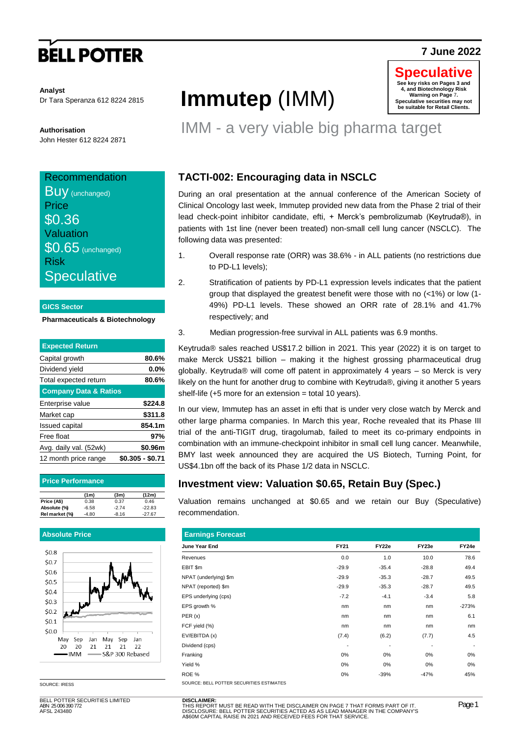# **BELL POTTER**

### **7 June 2022**

**Analyst** Dr Tara Speranza 612 8224 2815

**Authorisation** John Hester 612 8224 2871

### **Recommendation**

**Buy** (unchanged) **Price** \$0.36 Valuation **\$0.65** (unchanged) Risk **Speculative** 

### **GICS Sector**

### **Pharmaceuticals & Biotechnology**

| <b>Expected Return</b>           |                  |
|----------------------------------|------------------|
| Capital growth                   | 80.6%            |
| Dividend yield                   | $0.0\%$          |
| Total expected return            | 80.6%            |
| <b>Company Data &amp; Ratios</b> |                  |
| Enterprise value                 | \$224.8          |
| Market cap                       | \$311.8          |
| Issued capital                   | 854.1m           |
| Free float                       | 97%              |
| Avg. daily val. (52wk)           | \$0.96m          |
| 12 month price range             | \$0.305 - \$0.71 |
|                                  |                  |

| <b>Price Performance</b> |         |         |          |  |  |  |
|--------------------------|---------|---------|----------|--|--|--|
|                          | (1m)    | (3m)    | (12m)    |  |  |  |
| Price (A\$)              | 0.38    | 0.37    | 0.46     |  |  |  |
| Absolute (%)             | $-6.58$ | $-2.74$ | $-22.83$ |  |  |  |
| Rel market (%)           | $-4.80$ | $-8.16$ | $-27.67$ |  |  |  |

### **Absolute Price**



SOURCE: IRESS

BELL POTTER SECURITIES LIMITED ABN 25 006 390 772 AFSL 243480

# **Immutep** (IMM)



### IMM - a very viable big pharma target

### **TACTI-002: Encouraging data in NSCLC**

During an oral presentation at the annual conference of the American Society of Clinical Oncology last week, Immutep provided new data from the Phase 2 trial of their lead check-point inhibitor candidate, efti, + Merck's pembrolizumab (Keytruda®), in patients with 1st line (never been treated) non-small cell lung cancer (NSCLC). The following data was presented:

- 1. Overall response rate (ORR) was 38.6% in ALL patients (no restrictions due to PD-L1 levels);
- 2. Stratification of patients by PD-L1 expression levels indicates that the patient group that displayed the greatest benefit were those with no (<1%) or low (1- 49%) PD-L1 levels. These showed an ORR rate of 28.1% and 41.7% respectively; and
- 3. Median progression-free survival in ALL patients was 6.9 months.

Keytruda® sales reached US\$17.2 billion in 2021. This year (2022) it is on target to make Merck US\$21 billion – making it the highest grossing pharmaceutical drug globally. Keytruda® will come off patent in approximately 4 years – so Merck is very likely on the hunt for another drug to combine with Keytruda®, giving it another 5 years shelf-life  $(+5$  more for an extension = total 10 years).

In our view, Immutep has an asset in efti that is under very close watch by Merck and other large pharma companies. In March this year, Roche revealed that its Phase III trial of the anti-TIGIT drug, tiragolumab, failed to meet its co-primary endpoints in combination with an immune-checkpoint inhibitor in small cell lung cancer. Meanwhile, BMY last week announced they are acquired the US Biotech, Turning Point, for US\$4.1bn off the back of its Phase 1/2 data in NSCLC.

### **Investment view: Valuation \$0.65, Retain Buy (Spec.)**

Valuation remains unchanged at \$0.65 and we retain our Buy (Speculative) recommendation.

| <b>Earnings Forecast</b>                 |         |         |                          |         |  |  |  |
|------------------------------------------|---------|---------|--------------------------|---------|--|--|--|
| June Year End                            | FY21    | FY22e   | FY23e                    | FY24e   |  |  |  |
| Revenues                                 | 0.0     | 1.0     | 10.0                     | 78.6    |  |  |  |
| EBIT \$m                                 | $-29.9$ | $-35.4$ | $-28.8$                  | 49.4    |  |  |  |
| NPAT (underlying) \$m                    | $-29.9$ | $-35.3$ | $-28.7$                  | 49.5    |  |  |  |
| NPAT (reported) \$m                      | $-29.9$ | $-35.3$ | $-28.7$                  | 49.5    |  |  |  |
| EPS underlying (cps)                     | $-7.2$  | $-4.1$  | $-3.4$                   | 5.8     |  |  |  |
| EPS growth %                             | nm      | nm      | nm                       | $-273%$ |  |  |  |
| PER(x)                                   | nm      | nm      | nm                       | 6.1     |  |  |  |
| FCF yield (%)                            | nm      | nm      | nm                       | nm      |  |  |  |
| EV/EBITDA (x)                            | (7.4)   | (6.2)   | (7.7)                    | 4.5     |  |  |  |
| Dividend (cps)                           |         | ٠       | $\overline{\phantom{a}}$ |         |  |  |  |
| Franking                                 | 0%      | 0%      | 0%                       | 0%      |  |  |  |
| Yield %                                  | 0%      | 0%      | 0%                       | $0\%$   |  |  |  |
| ROE %                                    | 0%      | $-39%$  | $-47%$                   | 45%     |  |  |  |
| SOURCE: BELL POTTER SECURITIES ESTIMATES |         |         |                          |         |  |  |  |

**DISCLAIMER:**<br>THIS REPORT MUST BE READ WITH THE DISCLAIMER ON PAGE 7 THAT FORMS PART OF IT.<br>DISCLOSURE: BELL POTTER SECURITIES ACTED AS AS LEAD MANAGER IN THE COMPANY'S<br>A\$60M CAPITAL RAISE IN 2021 AND RECEIVED FEES FOR THA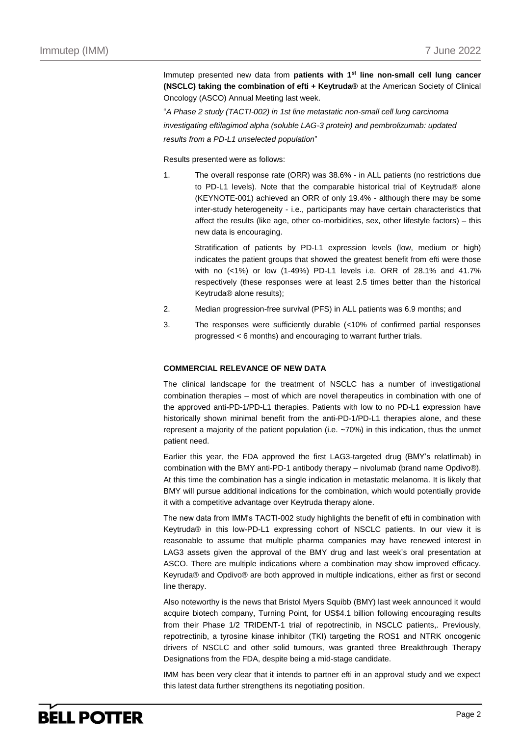Immutep presented new data from **patients with 1st line non-small cell lung cancer (NSCLC) taking the combination of efti + Keytruda®** at the American Society of Clinical Oncology (ASCO) Annual Meeting last week.

"*A Phase 2 study (TACTI-002) in 1st line metastatic non-small cell lung carcinoma investigating eftilagimod alpha (soluble LAG-3 protein) and pembrolizumab: updated results from a PD-L1 unselected population*"

Results presented were as follows:

1. The overall response rate (ORR) was 38.6% - in ALL patients (no restrictions due to PD-L1 levels). Note that the comparable historical trial of Keytruda® alone (KEYNOTE-001) achieved an ORR of only 19.4% - although there may be some inter-study heterogeneity - i.e., participants may have certain characteristics that affect the results (like age, other co-morbidities, sex, other lifestyle factors) – this new data is encouraging.

Stratification of patients by PD-L1 expression levels (low, medium or high) indicates the patient groups that showed the greatest benefit from efti were those with no (<1%) or low (1-49%) PD-L1 levels i.e. ORR of 28.1% and 41.7% respectively (these responses were at least 2.5 times better than the historical Keytruda® alone results);

- 2. Median progression-free survival (PFS) in ALL patients was 6.9 months; and
- 3. The responses were sufficiently durable (<10% of confirmed partial responses progressed < 6 months) and encouraging to warrant further trials.

### **COMMERCIAL RELEVANCE OF NEW DATA**

The clinical landscape for the treatment of NSCLC has a number of investigational combination therapies – most of which are novel therapeutics in combination with one of the approved anti-PD-1/PD-L1 therapies. Patients with low to no PD-L1 expression have historically shown minimal benefit from the anti-PD-1/PD-L1 therapies alone, and these represent a majority of the patient population (i.e. ~70%) in this indication, thus the unmet patient need.

Earlier this year, the FDA approved the first LAG3-targeted drug (BMY's relatlimab) in combination with the BMY anti-PD-1 antibody therapy – nivolumab (brand name Opdivo®). At this time the combination has a single indication in metastatic melanoma. It is likely that BMY will pursue additional indications for the combination, which would potentially provide it with a competitive advantage over Keytruda therapy alone.

The new data from IMM's TACTI-002 study highlights the benefit of efti in combination with Keytruda® in this low-PD-L1 expressing cohort of NSCLC patients. In our view it is reasonable to assume that multiple pharma companies may have renewed interest in LAG3 assets given the approval of the BMY drug and last week's oral presentation at ASCO. There are multiple indications where a combination may show improved efficacy. Keyruda® and Opdivo® are both approved in multiple indications, either as first or second line therapy.

Also noteworthy is the news that Bristol Myers Squibb (BMY) last week announced it would acquire biotech company, Turning Point, for US\$4.1 billion following encouraging results from their Phase 1/2 TRIDENT-1 trial of repotrectinib, in NSCLC patients,. Previously, repotrectinib, a tyrosine kinase inhibitor (TKI) targeting the ROS1 and NTRK oncogenic drivers of NSCLC and other solid tumours, was granted three Breakthrough Therapy Designations from the FDA, despite being a mid-stage candidate.

IMM has been very clear that it intends to partner efti in an approval study and we expect this latest data further strengthens its negotiating position.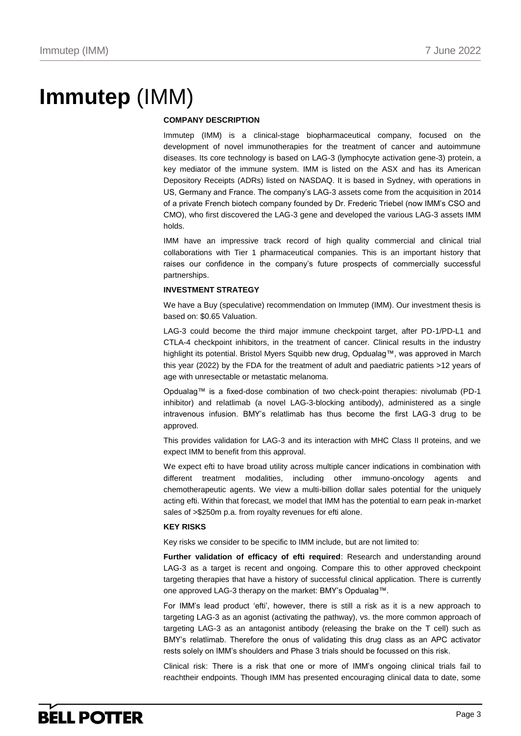# **Immutep** (IMM)

### **COMPANY DESCRIPTION**

Immutep (IMM) is a clinical-stage biopharmaceutical company, focused on the development of novel immunotherapies for the treatment of cancer and autoimmune diseases. Its core technology is based on LAG-3 (lymphocyte activation gene-3) protein, a key mediator of the immune system. IMM is listed on the ASX and has its American Depository Receipts (ADRs) listed on NASDAQ. It is based in Sydney, with operations in US, Germany and France. The company's LAG-3 assets come from the acquisition in 2014 of a private French biotech company founded by Dr. Frederic Triebel (now IMM's CSO and CMO), who first discovered the LAG-3 gene and developed the various LAG-3 assets IMM holds.

IMM have an impressive track record of high quality commercial and clinical trial collaborations with Tier 1 pharmaceutical companies. This is an important history that raises our confidence in the company's future prospects of commercially successful partnerships.

### **INVESTMENT STRATEGY**

We have a Buy (speculative) recommendation on Immutep (IMM). Our investment thesis is based on: \$0.65 Valuation.

LAG-3 could become the third major immune checkpoint target, after PD-1/PD-L1 and CTLA-4 checkpoint inhibitors, in the treatment of cancer. Clinical results in the industry highlight its potential. Bristol Myers Squibb new drug, Opdualag™, was approved in March this year (2022) by the FDA for the treatment of adult and paediatric patients >12 years of age with unresectable or metastatic melanoma.

Opdualag™ is a fixed-dose combination of two check-point therapies: nivolumab (PD-1 inhibitor) and relatlimab (a novel LAG-3-blocking antibody), administered as a single intravenous infusion. BMY's relatlimab has thus become the first LAG-3 drug to be approved.

This provides validation for LAG-3 and its interaction with MHC Class II proteins, and we expect IMM to benefit from this approval.

We expect efti to have broad utility across multiple cancer indications in combination with different treatment modalities, including other immuno-oncology agents and chemotherapeutic agents. We view a multi-billion dollar sales potential for the uniquely acting efti. Within that forecast, we model that IMM has the potential to earn peak in-market sales of >\$250m p.a. from royalty revenues for efti alone.

### **KEY RISKS**

Key risks we consider to be specific to IMM include, but are not limited to:

**Further validation of efficacy of efti required**: Research and understanding around LAG-3 as a target is recent and ongoing. Compare this to other approved checkpoint targeting therapies that have a history of successful clinical application. There is currently one approved LAG-3 therapy on the market: BMY's Opdualag™.

For IMM's lead product 'efti', however, there is still a risk as it is a new approach to targeting LAG-3 as an agonist (activating the pathway), vs. the more common approach of targeting LAG-3 as an antagonist antibody (releasing the brake on the T cell) such as BMY's relatlimab. Therefore the onus of validating this drug class as an APC activator rests solely on IMM's shoulders and Phase 3 trials should be focussed on this risk.

Clinical risk: There is a risk that one or more of IMM's ongoing clinical trials fail to reachtheir endpoints. Though IMM has presented encouraging clinical data to date, some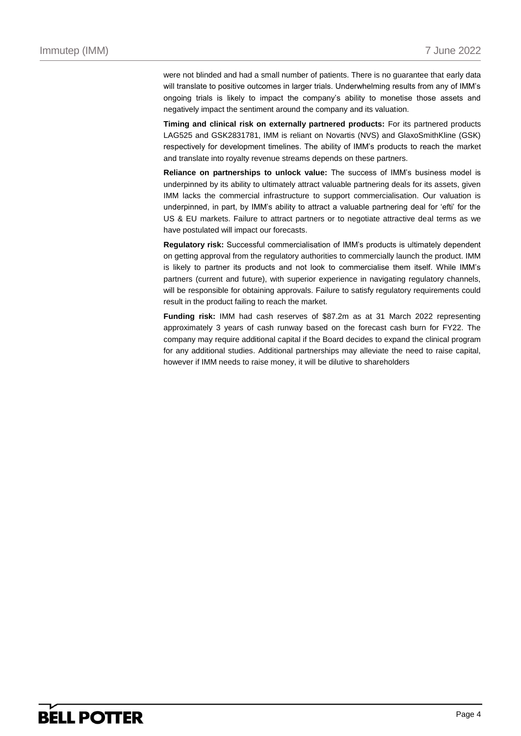were not blinded and had a small number of patients. There is no guarantee that early data will translate to positive outcomes in larger trials. Underwhelming results from any of IMM's ongoing trials is likely to impact the company's ability to monetise those assets and negatively impact the sentiment around the company and its valuation.

**Timing and clinical risk on externally partnered products:** For its partnered products LAG525 and GSK2831781, IMM is reliant on Novartis (NVS) and GlaxoSmithKline (GSK) respectively for development timelines. The ability of IMM's products to reach the market and translate into royalty revenue streams depends on these partners.

**Reliance on partnerships to unlock value:** The success of IMM's business model is underpinned by its ability to ultimately attract valuable partnering deals for its assets, given IMM lacks the commercial infrastructure to support commercialisation. Our valuation is underpinned, in part, by IMM's ability to attract a valuable partnering deal for 'efti' for the US & EU markets. Failure to attract partners or to negotiate attractive deal terms as we have postulated will impact our forecasts.

**Regulatory risk:** Successful commercialisation of IMM's products is ultimately dependent on getting approval from the regulatory authorities to commercially launch the product. IMM is likely to partner its products and not look to commercialise them itself. While IMM's partners (current and future), with superior experience in navigating regulatory channels, will be responsible for obtaining approvals. Failure to satisfy regulatory requirements could result in the product failing to reach the market.

**Funding risk:** IMM had cash reserves of \$87.2m as at 31 March 2022 representing approximately 3 years of cash runway based on the forecast cash burn for FY22. The company may require additional capital if the Board decides to expand the clinical program for any additional studies. Additional partnerships may alleviate the need to raise capital, however if IMM needs to raise money, it will be dilutive to shareholders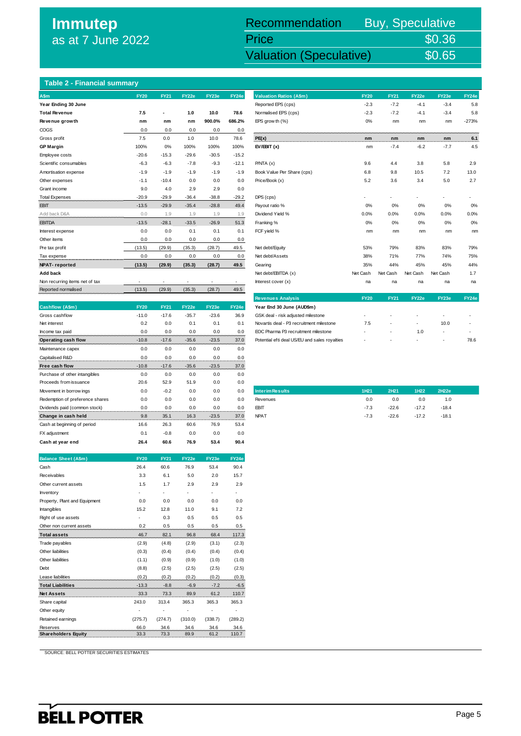### **Immutep** as at 7 June 2022

# Recommendation Buy, Speculative Price \$0.36<br>Valuation (Speculative) \$0.65

**Immutep (IMM) 7 June 2022 7 June 2022 7 Valuation (Speculative) 50.65** 

### **Table 2 - Financial summary**

| <b>A</b> Sm                    | <b>FY20</b> | <b>FY21</b> | FY22e   | FY23e   | FY24e   |
|--------------------------------|-------------|-------------|---------|---------|---------|
| Year Ending 30 June            |             |             |         |         |         |
| <b>Total Revenue</b>           | 7.5         |             | 1.0     | 10.0    | 78.6    |
| Revenue growth                 | nm          | nm          | nm      | 900.0%  | 686.2%  |
| COGS                           | 0.0         | 0.0         | 0.0     | 0.0     | 0.0     |
| Gross profit                   | 7.5         | 0.0         | 1.0     | 10.0    | 78.6    |
| <b>GP Margin</b>               | 100%        | 0%          | 100%    | 100%    | 100%    |
| Employee costs                 | $-20.6$     | $-15.3$     | $-29.6$ | $-30.5$ | $-15.2$ |
| Scientific consumables         | $-6.3$      | $-6.3$      | $-7.8$  | $-9.3$  | $-12.1$ |
| Amortisation expense           | $-1.9$      | $-1.9$      | $-1.9$  | $-1.9$  | $-1.9$  |
| Other expenses                 | $-1.1$      | $-10.4$     | 0.0     | 0.0     | 0.0     |
| Grant income                   | 9.0         | 4.0         | 2.9     | 2.9     | 0.0     |
| <b>Total Expenses</b>          | $-20.9$     | $-29.9$     | $-36.4$ | $-38.8$ | $-29.2$ |
| <b>EBIT</b>                    | $-13.5$     | $-29.9$     | $-35.4$ | $-28.8$ | 49.4    |
| Add back D&A                   | 0.0         | 1.9         | 1.9     | 1.9     | 1.9     |
| <b>EBITDA</b>                  | $-13.5$     | $-28.1$     | $-33.5$ | $-26.9$ | 51.3    |
| Interest expense               | 0.0         | 0.0         | 0.1     | 0.1     | 0.1     |
| Other items                    | 0.0         | 0.0         | 0.0     | 0.0     | 0.0     |
| Pre tax profit                 | (13.5)      | (29.9)      | (35.3)  | (28.7)  | 49.5    |
| Tax expense                    | 0.0         | 0.0         | 0.0     | 0.0     | 0.0     |
| <b>NPAT-reported</b>           | (13.5)      | (29.9)      | (35.3)  | (28.7)  | 49.5    |
| Add back                       |             |             |         |         |         |
| Non recurring items net of tax |             |             |         |         |         |
| Reported normalised            | (13.5)      | (29.9)      | (35.3)  | (28.7)  | 49.5    |

|                                 |             |             |         |         |       | <b>Revenues Analysis</b>                      | ET ZU. | FIZI    | <b>FIZZE</b> | r i zoel                 | - 17 |
|---------------------------------|-------------|-------------|---------|---------|-------|-----------------------------------------------|--------|---------|--------------|--------------------------|------|
| Cashflow (A\$m)                 | <b>FY20</b> | <b>FY21</b> | FY22e   | FY23e   | FY24e | Year End 30 June (AUD\$m)                     |        |         |              |                          |      |
| Gross cashflow                  | $-11.0$     | $-17.6$     | $-35.7$ | $-23.6$ | 36.9  | GSK deal - risk adjusted milestone            | ٠      |         | $\sim$       |                          |      |
| Net interest                    | 0.2         | 0.0         | 0.1     | 0.1     | 0.1   | Novartis deal - P3 recruitment milestone      | 7.5    | ٠       | ٠            | 10.0                     | ł,   |
| Income tax paid                 | 0.0         | 0.0         | 0.0     | 0.0     | 0.0   | EOC Pharma P3 recruitment milestone           | ٠      | ٠       | 1.0          | $\overline{\phantom{a}}$ | ٠    |
| Operating cash flow             | $-10.8$     | $-17.6$     | $-35.6$ | $-23.5$ | 37.0  | Potential efti deal US/EU and sales royalties | ٠      |         |              | $\overline{\phantom{a}}$ | 75   |
| Maintenance capex               | 0.0         | 0.0         | 0.0     | 0.0     | 0.0   |                                               |        |         |              |                          |      |
| Capitalised R&D                 | 0.0         | 0.0         | 0.0     | 0.0     | 0.0   |                                               |        |         |              |                          |      |
| Free cash flow                  | $-10.8$     | $-17.6$     | $-35.6$ | $-23.5$ | 37.0  |                                               |        |         |              |                          |      |
| Purchase of other intangibles   | 0.0         | 0.0         | 0.0     | 0.0     | 0.0   |                                               |        |         |              |                          |      |
| Proceeds from issuance          | 20.6        | 52.9        | 51.9    | 0.0     | 0.0   |                                               |        |         |              |                          |      |
| Movement in borrow ings         | 0.0         | $-0.2$      | 0.0     | 0.0     | 0.0   | <b>Interim Results</b>                        | 1H21   | 2H21    | 1H22         | 2H22e                    |      |
| Redemption of preference shares | 0.0         | 0.0         | 0.0     | 0.0     | 0.0   | Revenues                                      | 0.0    | 0.0     | 0.0          | 1.0                      |      |
| Dvidends paid (common stock)    | 0.0         | 0.0         | 0.0     | 0.0     | 0.0   | <b>EBIT</b>                                   | $-7.3$ | $-22.6$ | $-17.2$      | $-18.4$                  |      |
| Change in cash held             | 9.8         | 35.1        | 16.3    | $-23.5$ | 37.0  | <b>NPAT</b>                                   | $-7.3$ | $-22.6$ | $-17.2$      | $-18.1$                  |      |
| Cash at beginning of period     | 16.6        | 26.3        | 60.6    | 76.9    | 53.4  |                                               |        |         |              |                          |      |
| FX adjustment                   | 0.1         | $-0.8$      | 0.0     | 0.0     | 0.0   |                                               |        |         |              |                          |      |
| Cash at year end                | 26.4        | 60.6        | 76.9    | 53.4    | 90.4  |                                               |        |         |              |                          |      |

| <b>Balance Sheet (A\$m)</b>   | <b>FY20</b> | <b>FY21</b> | FY22e   | FY23e   | FY24e   |
|-------------------------------|-------------|-------------|---------|---------|---------|
| Cash                          | 26.4        | 60.6        | 76.9    | 53.4    | 90.4    |
| Receivables                   | 3.3         | 6.1         | 5.0     | 2.0     | 15.7    |
| Other current assets          | 1.5         | 1.7         | 2.9     | 2.9     | 2.9     |
| Inventory                     |             |             |         |         |         |
| Property, Plant and Equipment | 0.0         | 0.0         | 0.0     | 0.0     | 0.0     |
| Intangibles                   | 15.2        | 12.8        | 11.0    | 9.1     | 7.2     |
| Right of use assets           |             | 0.3         | 0.5     | 0.5     | 0.5     |
| Other non current assets      | 0.2         | 0.5         | 0.5     | 0.5     | 0.5     |
| <b>Total assets</b>           | 46.7        | 82.1        | 96.8    | 68.4    | 117.3   |
| Trade payables                | (2.9)       | (4.8)       | (2.9)   | (3.1)   | (2.3)   |
| Other liabilities             | (0.3)       | (0.4)       | (0.4)   | (0.4)   | (0.4)   |
| Other liabilities             | (1.1)       | (0.9)       | (0.9)   | (1.0)   | (1.0)   |
| Debt                          | (8.8)       | (2.5)       | (2.5)   | (2.5)   | (2.5)   |
| Lease liabilities             | (0.2)       | (0.2)       | (0.2)   | (0.2)   | (0.3)   |
| <b>Total Liabilities</b>      | $-13.3$     | $-8.8$      | $-6.9$  | $-7.2$  | $-6.5$  |
| <b>Net Assets</b>             | 33.3        | 73.3        | 89.9    | 61.2    | 110.7   |
| Share capital                 | 243.0       | 313.4       | 365.3   | 365.3   | 365.3   |
| Other equity                  |             |             |         |         |         |
| Retained earnings             | (275.7)     | (274.7)     | (310.0) | (338.7) | (289.2) |
| Reserves                      | 66.0        | 34.6        | 34.6    | 34.6    | 34.6    |
| <b>Shareholders Equity</b>    | 33.3        | 73.3        | 89.9    | 61.2    | 110.7   |

SOURCE: BELL POTTER SECURITIES ESTIMATES

| Table 2 - Financial summary    |             |             |         |         |              |                                               |             |             |              |          |         |
|--------------------------------|-------------|-------------|---------|---------|--------------|-----------------------------------------------|-------------|-------------|--------------|----------|---------|
| <b>A</b> \$m                   | <b>FY20</b> | <b>FY21</b> | FY22e   | FY23e   | FY24e        | <b>Valuation Ratios (A\$m)</b>                | <b>FY20</b> | <b>FY21</b> | FY22e        | FY23e    | FY24e   |
| Year Ending 30 June            |             |             |         |         |              | Reported EPS (cps)                            | $-2.3$      | $-7.2$      | $-4.1$       | $-3.4$   | 5.8     |
| <b>Total Revenue</b>           | 7.5         | ٠           | 1.0     | 10.0    | 78.6         | Normalised EPS (cps)                          | $-2.3$      | $-7.2$      | $-4.1$       | $-3.4$   | 5.8     |
| Revenue growth                 | nm          | nm          | nm      | 900.0%  | 686.2%       | EPS grow th (%)                               | 0%          | nm          | nm           | nm       | $-273%$ |
| COGS                           | 0.0         | 0.0         | 0.0     | 0.0     | 0.0          |                                               |             |             |              |          |         |
| Gross profit                   | 7.5         | 0.0         | 1.0     | 10.0    | 78.6         | PE(x)                                         | nm          | nm          | nm           | nm       | 6.1     |
| <b>GP Margin</b>               | 100%        | 0%          | 100%    | 100%    | 100%         | EV/EBIT(x)                                    | nm          | $-7.4$      | $-6.2$       | $-7.7$   | 4.5     |
| Employee costs                 | $-20.6$     | $-15.3$     | $-29.6$ | $-30.5$ | $-15.2$      |                                               |             |             |              |          |         |
| Scientific consumables         | $-6.3$      | $-6.3$      | $-7.8$  | $-9.3$  | $-12.1$      | P/NTA(x)                                      | 9.6         | 4.4         | 3.8          | 5.8      | 2.9     |
| Amortisation expense           | $-1.9$      | $-1.9$      | $-1.9$  | $-1.9$  | $-1.9$       | Book Value Per Share (cps)                    | 6.8         | 9.8         | 10.5         | 7.2      | 13.0    |
| Other expenses                 | $-1.1$      | $-10.4$     | 0.0     | 0.0     | 0.0          | Price/Book (x)                                | 5.2         | 3.6         | 3.4          | 5.0      | 2.7     |
| Grant income                   | 9.0         | 4.0         | 2.9     | 2.9     | 0.0          |                                               |             |             |              |          |         |
| <b>Total Expenses</b>          | $-20.9$     | $-29.9$     | $-36.4$ | $-38.8$ | $-29.2$      | DPS (cps)                                     |             |             |              |          |         |
| <b>EBIT</b>                    | $-13.5$     | $-29.9$     | $-35.4$ | $-28.8$ | 49.4         | Payout ratio %                                | 0%          | 0%          | 0%           | 0%       | 0%      |
| Add back D&A                   | 0.0         | 1.9         | 1.9     | 1.9     | 1.9          | Dividend Yield %                              | 0.0%        | 0.0%        | 0.0%         | 0.0%     | 0.0%    |
| <b>EBITDA</b>                  | $-13.5$     | $-28.1$     | $-33.5$ | $-26.9$ | 51.3         | Franking %                                    | 0%          | 0%          | 0%           | 0%       | 0%      |
| Interest expense               | 0.0         | 0.0         | 0.1     | 0.1     | 0.1          | FCF yield %                                   | nm          | nm          | nm           | nm       | nm      |
| Other items                    | 0.0         | 0.0         | 0.0     | 0.0     | 0.0          |                                               |             |             |              |          |         |
| Pre tax profit                 | (13.5)      | (29.9)      | (35.3)  | (28.7)  | 49.5         | Net debt/Equity                               | 53%         | 79%         | 83%          | 83%      | 79%     |
| Tax expense                    | 0.0         | 0.0         | 0.0     | 0.0     | 0.0          | Net debt/Assets                               | 38%         | 71%         | 77%          | 74%      | 75%     |
| <b>NPAT-reported</b>           | (13.5)      | (29.9)      | (35.3)  | (28.7)  | 49.5         | Gearing                                       | 35%         | 44%         | 45%          | 45%      | 44%     |
| Add back                       |             |             |         |         |              | Net debt/EBITDA (x)                           | Net Cash    | Net Cash    | Net Cash     | Net Cash | 1.7     |
| Non recurring items net of tax |             |             |         |         | $\mathbf{r}$ | Interest cover (x)                            | na          | na          | na           | na       | na      |
| Reported normalised            | (13.5)      | (29.9)      | (35.3)  | (28.7)  | 49.5         |                                               |             |             |              |          |         |
|                                |             |             |         |         |              | <b>Revenues Analysis</b>                      | <b>FY20</b> | <b>FY21</b> | <b>FY22e</b> | FY23e    | FY24e   |
| Cashflow (A\$m)                | <b>FY20</b> | <b>FY21</b> | FY22e   | FY23e   | FY24e        | Year End 30 June (AUD\$m)                     |             |             |              |          |         |
| Gross cashflow                 | $-11.0$     | $-17.6$     | $-35.7$ | $-23.6$ | 36.9         | GSK deal - risk adjusted milestone            |             |             |              |          |         |
| Net interest                   | 0.2         | 0.0         | 0.1     | 0.1     | 0.1          | Novartis deal - P3 recruitment milestone      | 7.5         |             |              | 10.0     |         |
| Income tax paid                | 0.0         | 0.0         | 0.0     | 0.0     | 0.0          | EOC Pharma P3 recruitment milestone           |             |             | 1.0          |          |         |
| Operating cash flow            | $-10.8$     | $-17.6$     | $-35.6$ | $-23.5$ | 37.0         | Potential efti deal US/EU and sales royalties |             |             |              |          | 78.6    |

| <b>Interim Results</b> | 1H21   | 2H21    | 1H <sub>22</sub> | 2H22e   |  |
|------------------------|--------|---------|------------------|---------|--|
| Revenues               | 0.0    | 0.0     | 0.0              | 1.0     |  |
| <b>EBIT</b>            | $-7.3$ | $-22.6$ | $-17.2$          | $-18.4$ |  |
| <b>NPAT</b>            | $-7.3$ | $-22.6$ | $-17.2$          | $-18.1$ |  |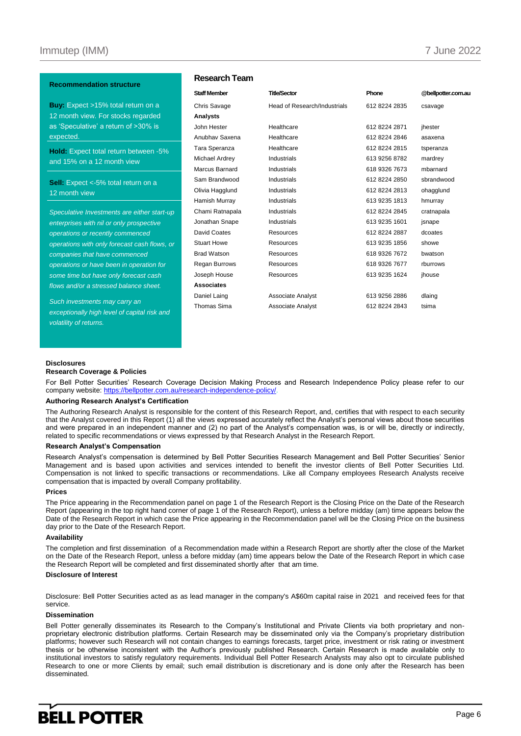#### **Recommendation structure**

**Buy:** Expect >15% total return on a 12 month view. For stocks regarded as 'Speculative' a return of >30% is expected.

**Hold:** Expect total return between -5% and 15% on a 12 month view

**Sell:** Expect <-5% total return on a 12 month view

*Speculative Investments are either start-up enterprises with nil or only prospective operations or recently commenced operations with only forecast cash flows, or companies that have commenced operations or have been in operation for some time but have only forecast cash flows and/or a stressed balance sheet.*

*Such investments may carry an exceptionally high level of capital risk and volatility of returns.* 

### **Research Team**

| <b>Staff Member</b>  | <b>Title/Sector</b>          | Phone         | @bellpotter.com.au |
|----------------------|------------------------------|---------------|--------------------|
| Chris Savage         | Head of Research/Industrials | 612 8224 2835 | csavage            |
| Analysts             |                              |               |                    |
| John Hester          | Healthcare                   | 612 8224 2871 | jhester            |
| Anubhay Saxena       | Healthcare                   | 612 8224 2846 | asaxena            |
| Tara Speranza        | Healthcare                   | 612 8224 2815 | tsperanza          |
| Michael Ardrey       | Industrials                  | 613 9256 8782 | mardrey            |
| Marcus Barnard       | <b>Industrials</b>           | 618 9326 7673 | mbarnard           |
| Sam Brandwood        | Industrials                  | 612 8224 2850 | sbrandwood         |
| Olivia Hagglund      | <b>Industrials</b>           | 612 8224 2813 | ohagglund          |
| Hamish Murray        | <b>Industrials</b>           | 613 9235 1813 | hmurray            |
| Chami Ratnapala      | <b>Industrials</b>           | 612 8224 2845 | cratnapala         |
| Jonathan Snape       | <b>Industrials</b>           | 613 9235 1601 | jsnape             |
| David Coates         | <b>Resources</b>             | 612 8224 2887 | dcoates            |
| <b>Stuart Howe</b>   | <b>Resources</b>             | 613 9235 1856 | showe              |
| <b>Brad Watson</b>   | Resources                    | 618 9326 7672 | bwatson            |
| <b>Regan Burrows</b> | Resources                    | 618 9326 7677 | rburrows           |
| Joseph House         | <b>Resources</b>             | 613 9235 1624 | jhouse             |
| <b>Associates</b>    |                              |               |                    |
| Daniel Laing         | <b>Associate Analyst</b>     | 613 9256 2886 | dlaing             |
| <b>Thomas Sima</b>   | <b>Associate Analyst</b>     | 612 8224 2843 | tsima              |
|                      |                              |               |                    |

#### **Disclosures**

#### **Research Coverage & Policies**

For Bell Potter Securities' Research Coverage Decision Making Process and Research Independence Policy please refer to our company website[: https://bellpotter.com.au/research-independence-policy/.](https://bellpotter.com.au/research-independence-policy/)

#### **Authoring Research Analyst's Certification**

The Authoring Research Analyst is responsible for the content of this Research Report, and, certifies that with respect to each security that the Analyst covered in this Report (1) all the views expressed accurately reflect the Analyst's personal views about those securities and were prepared in an independent manner and (2) no part of the Analyst's compensation was, is or will be, directly or indirectly, related to specific recommendations or views expressed by that Research Analyst in the Research Report.

### **Research Analyst's Compensation**

Research Analyst's compensation is determined by Bell Potter Securities Research Management and Bell Potter Securities' Senior Management and is based upon activities and services intended to benefit the investor clients of Bell Potter Securities Ltd. Compensation is not linked to specific transactions or recommendations. Like all Company employees Research Analysts receive compensation that is impacted by overall Company profitability.

#### **Prices**

The Price appearing in the Recommendation panel on page 1 of the Research Report is the Closing Price on the Date of the Research Report (appearing in the top right hand corner of page 1 of the Research Report), unless a before midday (am) time appears below the Date of the Research Report in which case the Price appearing in the Recommendation panel will be the Closing Price on the business day prior to the Date of the Research Report.

### **Availability**

The completion and first dissemination of a Recommendation made within a Research Report are shortly after the close of the Market on the Date of the Research Report, unless a before midday (am) time appears below the Date of the Research Report in which case the Research Report will be completed and first disseminated shortly after that am time.

### **Disclosure of Interest**

Disclosure: Bell Potter Securities acted as as lead manager in the company's A\$60m capital raise in 2021 and received fees for that service.

### **Dissemination**

Bell Potter generally disseminates its Research to the Company's Institutional and Private Clients via both proprietary and nonproprietary electronic distribution platforms. Certain Research may be disseminated only via the Company's proprietary distribution platforms; however such Research will not contain changes to earnings forecasts, target price, investment or risk rating or investment thesis or be otherwise inconsistent with the Author's previously published Research. Certain Research is made available only to institutional investors to satisfy regulatory requirements. Individual Bell Potter Research Analysts may also opt to circulate published Research to one or more Clients by email; such email distribution is discretionary and is done only after the Research has been disseminated.